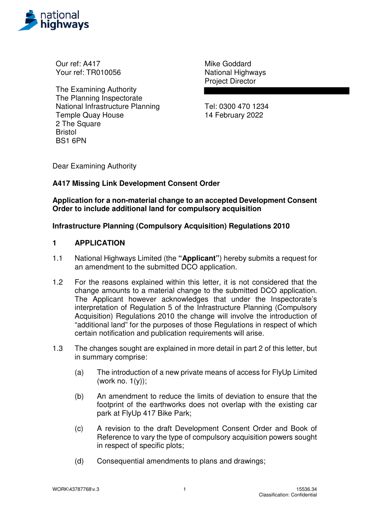

Our ref: A417 Your ref: TR010056

The Examining Authority The Planning Inspectorate National Infrastructure Planning Temple Quay House 2 The Square Bristol BS1 6PN

Mike Goddard National Highways Project Director

Tel: 0300 470 1234 14 February 2022

Dear Examining Authority

## **A417 Missing Link Development Consent Order**

**Application for a non-material change to an accepted Development Consent Order to include additional land for compulsory acquisition** 

### **Infrastructure Planning (Compulsory Acquisition) Regulations 2010**

#### **1 APPLICATION**

- 1.1 National Highways Limited (the **"Applicant"**) hereby submits a request for an amendment to the submitted DCO application.
- 1.2 For the reasons explained within this letter, it is not considered that the change amounts to a material change to the submitted DCO application. The Applicant however acknowledges that under the Inspectorate's interpretation of Regulation 5 of the Infrastructure Planning (Compulsory Acquisition) Regulations 2010 the change will involve the introduction of "additional land" for the purposes of those Regulations in respect of which certain notification and publication requirements will arise.
- 1.3 The changes sought are explained in more detail in part 2 of this letter, but in summary comprise:
	- (a) The introduction of a new private means of access for FlyUp Limited (work no.  $1(y)$ );
	- (b) An amendment to reduce the limits of deviation to ensure that the footprint of the earthworks does not overlap with the existing car park at FlyUp 417 Bike Park;
	- (c) A revision to the draft Development Consent Order and Book of Reference to vary the type of compulsory acquisition powers sought in respect of specific plots;
	- (d) Consequential amendments to plans and drawings;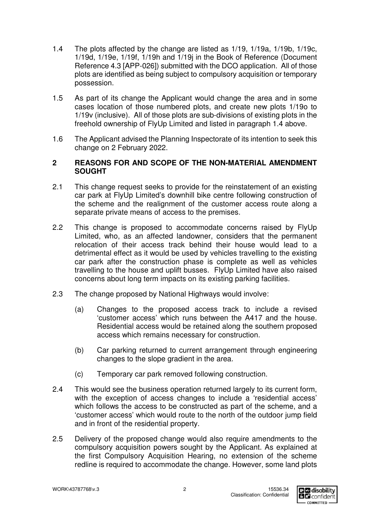- 1.4 The plots affected by the change are listed as 1/19, 1/19a, 1/19b, 1/19c, 1/19d, 1/19e, 1/19f, 1/19h and 1/19j in the Book of Reference (Document Reference 4.3 [APP-026]) submitted with the DCO application. All of those plots are identified as being subject to compulsory acquisition or temporary possession.
- 1.5 As part of its change the Applicant would change the area and in some cases location of those numbered plots, and create new plots 1/19o to 1/19v (inclusive). All of those plots are sub-divisions of existing plots in the freehold ownership of FlyUp Limited and listed in paragraph 1.4 above.
- 1.6 The Applicant advised the Planning Inspectorate of its intention to seek this change on 2 February 2022.

### **2 REASONS FOR AND SCOPE OF THE NON-MATERIAL AMENDMENT SOUGHT**

- 2.1 This change request seeks to provide for the reinstatement of an existing car park at FlyUp Limited's downhill bike centre following construction of the scheme and the realignment of the customer access route along a separate private means of access to the premises.
- 2.2 This change is proposed to accommodate concerns raised by FlyUp Limited, who, as an affected landowner, considers that the permanent relocation of their access track behind their house would lead to a detrimental effect as it would be used by vehicles travelling to the existing car park after the construction phase is complete as well as vehicles travelling to the house and uplift busses. FlyUp Limited have also raised concerns about long term impacts on its existing parking facilities.
- 2.3 The change proposed by National Highways would involve:
	- (a) Changes to the proposed access track to include a revised 'customer access' which runs between the A417 and the house. Residential access would be retained along the southern proposed access which remains necessary for construction.
	- (b) Car parking returned to current arrangement through engineering changes to the slope gradient in the area.
	- (c) Temporary car park removed following construction.
- 2.4 This would see the business operation returned largely to its current form, with the exception of access changes to include a 'residential access' which follows the access to be constructed as part of the scheme, and a 'customer access' which would route to the north of the outdoor jump field and in front of the residential property.
- 2.5 Delivery of the proposed change would also require amendments to the compulsory acquisition powers sought by the Applicant. As explained at the first Compulsory Acquisition Hearing, no extension of the scheme redline is required to accommodate the change. However, some land plots

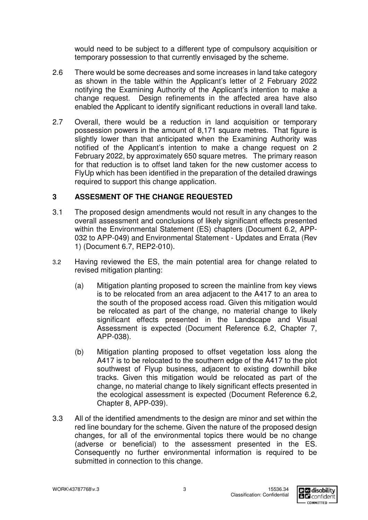would need to be subject to a different type of compulsory acquisition or temporary possession to that currently envisaged by the scheme.

- 2.6 There would be some decreases and some increases in land take category as shown in the table within the Applicant's letter of 2 February 2022 notifying the Examining Authority of the Applicant's intention to make a change request. Design refinements in the affected area have also enabled the Applicant to identify significant reductions in overall land take.
- 2.7 Overall, there would be a reduction in land acquisition or temporary possession powers in the amount of 8,171 square metres. That figure is slightly lower than that anticipated when the Examining Authority was notified of the Applicant's intention to make a change request on 2 February 2022, by approximately 650 square metres. The primary reason for that reduction is to offset land taken for the new customer access to FlyUp which has been identified in the preparation of the detailed drawings required to support this change application.

# **3 ASSESMENT OF THE CHANGE REQUESTED**

- 3.1 The proposed design amendments would not result in any changes to the overall assessment and conclusions of likely significant effects presented within the Environmental Statement (ES) chapters (Document 6.2, APP-032 to APP-049) and Environmental Statement - Updates and Errata (Rev 1) (Document 6.7, REP2-010).
- 3.2 Having reviewed the ES, the main potential area for change related to revised mitigation planting:
	- (a) Mitigation planting proposed to screen the mainline from key views is to be relocated from an area adjacent to the A417 to an area to the south of the proposed access road. Given this mitigation would be relocated as part of the change, no material change to likely significant effects presented in the Landscape and Visual Assessment is expected (Document Reference 6.2, Chapter 7, APP-038).
	- (b) Mitigation planting proposed to offset vegetation loss along the A417 is to be relocated to the southern edge of the A417 to the plot southwest of Flyup business, adjacent to existing downhill bike tracks. Given this mitigation would be relocated as part of the change, no material change to likely significant effects presented in the ecological assessment is expected (Document Reference 6.2, Chapter 8, APP-039).
- 3.3 All of the identified amendments to the design are minor and set within the red line boundary for the scheme. Given the nature of the proposed design changes, for all of the environmental topics there would be no change (adverse or beneficial) to the assessment presented in the ES. Consequently no further environmental information is required to be submitted in connection to this change.

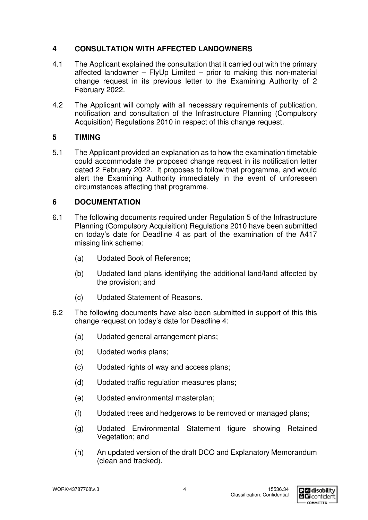# **4 CONSULTATION WITH AFFECTED LANDOWNERS**

- 4.1 The Applicant explained the consultation that it carried out with the primary affected landowner – FlyUp Limited – prior to making this non-material change request in its previous letter to the Examining Authority of 2 February 2022.
- 4.2 The Applicant will comply with all necessary requirements of publication, notification and consultation of the Infrastructure Planning (Compulsory Acquisition) Regulations 2010 in respect of this change request.

# **5 TIMING**

5.1 The Applicant provided an explanation as to how the examination timetable could accommodate the proposed change request in its notification letter dated 2 February 2022. It proposes to follow that programme, and would alert the Examining Authority immediately in the event of unforeseen circumstances affecting that programme.

# **6 DOCUMENTATION**

- 6.1 The following documents required under Regulation 5 of the Infrastructure Planning (Compulsory Acquisition) Regulations 2010 have been submitted on today's date for Deadline 4 as part of the examination of the A417 missing link scheme:
	- (a) Updated Book of Reference;
	- (b) Updated land plans identifying the additional land/land affected by the provision; and
	- (c) Updated Statement of Reasons.
- 6.2 The following documents have also been submitted in support of this this change request on today's date for Deadline 4:
	- (a) Updated general arrangement plans;
	- (b) Updated works plans;
	- (c) Updated rights of way and access plans;
	- (d) Updated traffic regulation measures plans;
	- (e) Updated environmental masterplan;
	- (f) Updated trees and hedgerows to be removed or managed plans;
	- (g) Updated Environmental Statement figure showing Retained Vegetation; and
	- (h) An updated version of the draft DCO and Explanatory Memorandum (clean and tracked).

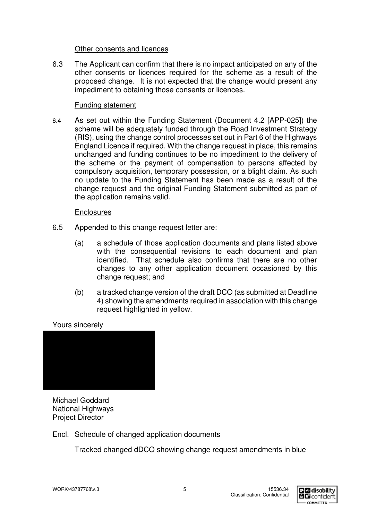#### Other consents and licences

6.3 The Applicant can confirm that there is no impact anticipated on any of the other consents or licences required for the scheme as a result of the proposed change. It is not expected that the change would present any impediment to obtaining those consents or licences.

### Funding statement

6.4 As set out within the Funding Statement (Document 4.2 [APP-025]) the scheme will be adequately funded through the Road Investment Strategy (RIS), using the change control processes set out in Part 6 of the Highways England Licence if required. With the change request in place, this remains unchanged and funding continues to be no impediment to the delivery of the scheme or the payment of compensation to persons affected by compulsory acquisition, temporary possession, or a blight claim. As such no update to the Funding Statement has been made as a result of the change request and the original Funding Statement submitted as part of the application remains valid.

#### **Enclosures**

- 6.5 Appended to this change request letter are:
	- (a) a schedule of those application documents and plans listed above with the consequential revisions to each document and plan identified. That schedule also confirms that there are no other changes to any other application document occasioned by this change request; and
	- (b) a tracked change version of the draft DCO (as submitted at Deadline 4) showing the amendments required in association with this change request highlighted in yellow.

## Yours sincerely



Michael Goddard National Highways Project Director

Encl. Schedule of changed application documents

Tracked changed dDCO showing change request amendments in blue

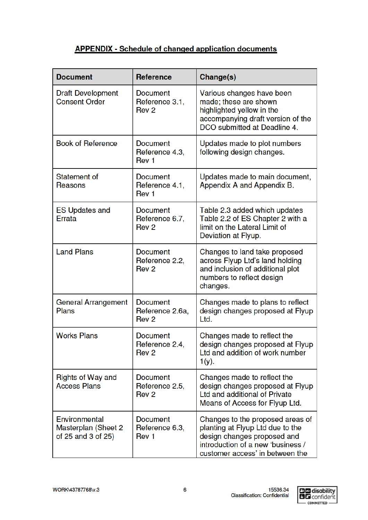# **APPENDIX - Schedule of changed application documents**

| <b>Document</b>                                            | <b>Reference</b>                                       | Change(s)                                                                                                                                                                   |
|------------------------------------------------------------|--------------------------------------------------------|-----------------------------------------------------------------------------------------------------------------------------------------------------------------------------|
| <b>Draft Development</b><br><b>Consent Order</b>           | <b>Document</b><br>Reference 3.1,<br>Rev <sub>2</sub>  | Various changes have been<br>made; these are shown<br>highlighted yellow in the<br>accompanying draft version of the<br>DCO submitted at Deadline 4.                        |
| <b>Book of Reference</b>                                   | <b>Document</b><br>Reference 4.3,<br>Rev <sub>1</sub>  | Updates made to plot numbers<br>following design changes.                                                                                                                   |
| Statement of<br>Reasons                                    | <b>Document</b><br>Reference 4.1,<br>Rev <sub>1</sub>  | Updates made to main document,<br>Appendix A and Appendix B.                                                                                                                |
| <b>ES Updates and</b><br>Errata                            | <b>Document</b><br>Reference 6.7,<br>Rev <sub>2</sub>  | Table 2.3 added which updates<br>Table 2.2 of ES Chapter 2 with a<br>limit on the Lateral Limit of<br>Deviation at Flyup.                                                   |
| <b>Land Plans</b>                                          | <b>Document</b><br>Reference 2.2,<br>Rev <sub>2</sub>  | Changes to land take proposed<br>across Flyup Ltd's land holding<br>and inclusion of additional plot<br>numbers to reflect design<br>changes.                               |
| General Arrangement<br><b>Plans</b>                        | <b>Document</b><br>Reference 2.6a,<br>Rev <sub>2</sub> | Changes made to plans to reflect<br>design changes proposed at Flyup<br>Ltd.                                                                                                |
| <b>Works Plans</b>                                         | <b>Document</b><br>Reference 2.4,<br>Rev <sub>2</sub>  | Changes made to reflect the<br>design changes proposed at Flyup<br>Ltd and addition of work number<br>$1(y)$ .                                                              |
| Rights of Way and<br><b>Access Plans</b>                   | <b>Document</b><br>Reference 2.5,<br>Rev <sub>2</sub>  | Changes made to reflect the<br>design changes proposed at Flyup<br>Ltd and additional of Private<br>Means of Access for Flyup Ltd.                                          |
| Environmental<br>Masterplan (Sheet 2<br>of 25 and 3 of 25) | <b>Document</b><br>Reference 6.3,<br>Rev <sub>1</sub>  | Changes to the proposed areas of<br>planting at Flyup Ltd due to the<br>design changes proposed and<br>introduction of a new 'business /<br>customer access' in between the |